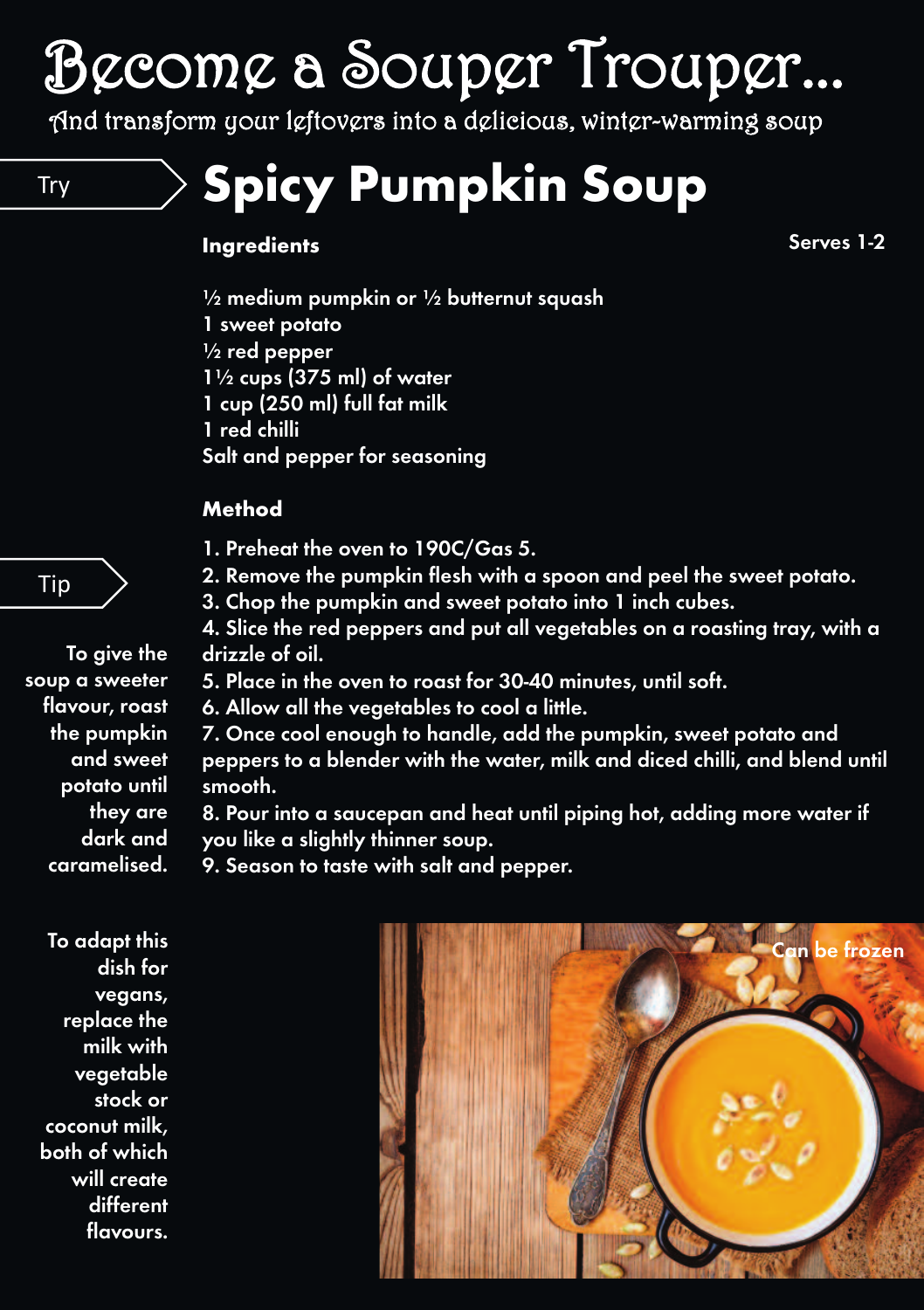# Become a Souper Trouper...

And transform your leftovers into a delicious, winter-warming soup

Try **Spicy Pumpkin Soup**

#### **Ingredients**

**Serves 1-2**

**½ medium pumpkin or ½ butternut squash 1 sweet potato ½ red pepper 1½ cups (375 ml) of water 1 cup (250 ml) full fat milk 1 red chilli Salt and pepper for seasoning**

#### **Method**

- **1. Preheat the oven to 190C/Gas 5.**
- **2. Remove the pumpkin flesh with a spoon and peel the sweet potato.**
- **3. Chop the pumpkin and sweet potato into 1 inch cubes.**
- **4. Slice the red peppers and put all vegetables on a roasting tray, with a drizzle of oil.**
- **5. Place in the oven to roast for 30-40 minutes, until soft.**
- **6. Allow all the vegetables to cool a little.**
- **7. Once cool enough to handle, add the pumpkin, sweet potato and peppers to a blender with the water, milk and diced chilli, and blend until smooth.**
- **8. Pour into a saucepan and heat until piping hot, adding more water if you like a slightly thinner soup.**
- **9. Season to taste with salt and pepper.**

**To adapt this dish for vegans, replace the milk with vegetable stock or coconut milk, both of which will create different flavours.**



**To give the soup a sweeter flavour, roast the pumpkin and sweet potato until they are dark and**

**caramelised.**

### Tip